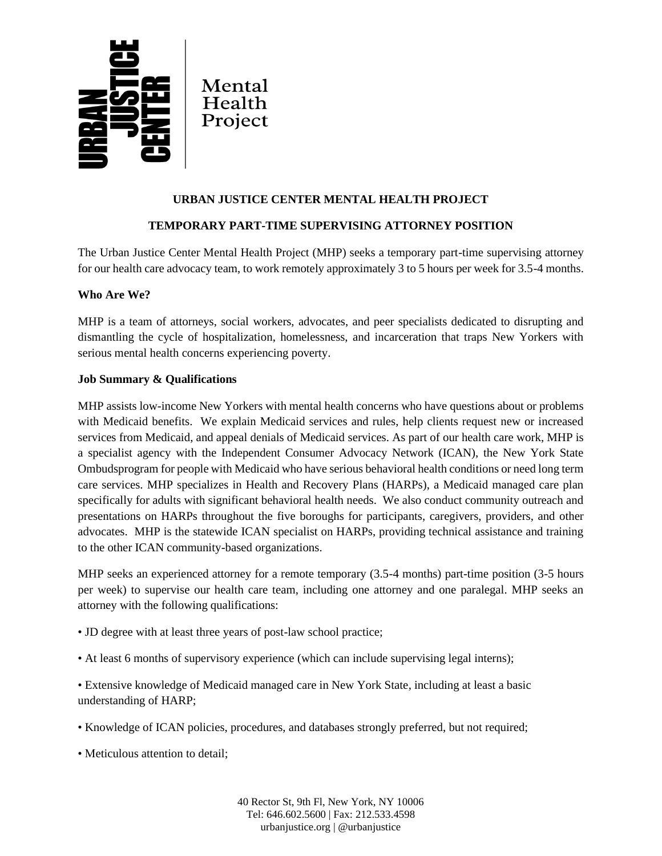

# **URBAN JUSTICE CENTER MENTAL HEALTH PROJECT**

## **TEMPORARY PART-TIME SUPERVISING ATTORNEY POSITION**

The Urban Justice Center Mental Health Project (MHP) seeks a temporary part-time supervising attorney for our health care advocacy team, to work remotely approximately 3 to 5 hours per week for 3.5-4 months.

## **Who Are We?**

MHP is a team of attorneys, social workers, advocates, and peer specialists dedicated to disrupting and dismantling the cycle of hospitalization, homelessness, and incarceration that traps New Yorkers with serious mental health concerns experiencing poverty.

### **Job Summary & Qualifications**

MHP assists low-income New Yorkers with mental health concerns who have questions about or problems with Medicaid benefits. We explain Medicaid services and rules, help clients request new or increased services from Medicaid, and appeal denials of Medicaid services. As part of our health care work, MHP is a specialist agency with the Independent Consumer Advocacy Network (ICAN), the New York State Ombudsprogram for people with Medicaid who have serious behavioral health conditions or need long term care services. MHP specializes in Health and Recovery Plans (HARPs), a Medicaid managed care plan specifically for adults with significant behavioral health needs. We also conduct community outreach and presentations on HARPs throughout the five boroughs for participants, caregivers, providers, and other advocates. MHP is the statewide ICAN specialist on HARPs, providing technical assistance and training to the other ICAN community-based organizations.

MHP seeks an experienced attorney for a remote temporary (3.5-4 months) part-time position (3-5 hours per week) to supervise our health care team, including one attorney and one paralegal. MHP seeks an attorney with the following qualifications:

- JD degree with at least three years of post-law school practice;
- At least 6 months of supervisory experience (which can include supervising legal interns);

• Extensive knowledge of Medicaid managed care in New York State, including at least a basic understanding of HARP;

- Knowledge of ICAN policies, procedures, and databases strongly preferred, but not required;
- Meticulous attention to detail;